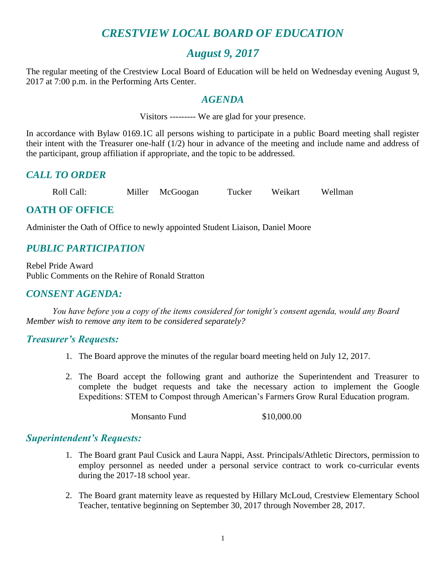# *CRESTVIEW LOCAL BOARD OF EDUCATION*

## *August 9, 2017*

The regular meeting of the Crestview Local Board of Education will be held on Wednesday evening August 9, 2017 at 7:00 p.m. in the Performing Arts Center.

#### *AGENDA*

Visitors --------- We are glad for your presence.

In accordance with Bylaw 0169.1C all persons wishing to participate in a public Board meeting shall register their intent with the Treasurer one-half (1/2) hour in advance of the meeting and include name and address of the participant, group affiliation if appropriate, and the topic to be addressed.

### *CALL TO ORDER*

Roll Call: Miller McGoogan Tucker Weikart Wellman

## **OATH OF OFFICE**

Administer the Oath of Office to newly appointed Student Liaison, Daniel Moore

## *PUBLIC PARTICIPATION*

Rebel Pride Award Public Comments on the Rehire of Ronald Stratton

### *CONSENT AGENDA:*

*You have before you a copy of the items considered for tonight's consent agenda, would any Board Member wish to remove any item to be considered separately?*

#### *Treasurer's Requests:*

- 1. The Board approve the minutes of the regular board meeting held on July 12, 2017.
- 2. The Board accept the following grant and authorize the Superintendent and Treasurer to complete the budget requests and take the necessary action to implement the Google Expeditions: STEM to Compost through American's Farmers Grow Rural Education program.

Monsanto Fund \$10,000.00

#### *Superintendent's Requests:*

- 1. The Board grant Paul Cusick and Laura Nappi, Asst. Principals/Athletic Directors, permission to employ personnel as needed under a personal service contract to work co-curricular events during the 2017-18 school year.
- 2. The Board grant maternity leave as requested by Hillary McLoud, Crestview Elementary School Teacher, tentative beginning on September 30, 2017 through November 28, 2017.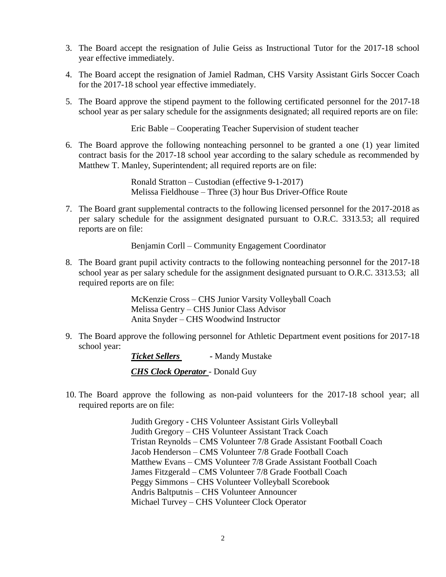- 3. The Board accept the resignation of Julie Geiss as Instructional Tutor for the 2017-18 school year effective immediately.
- 4. The Board accept the resignation of Jamiel Radman, CHS Varsity Assistant Girls Soccer Coach for the 2017-18 school year effective immediately.
- 5. The Board approve the stipend payment to the following certificated personnel for the 2017-18 school year as per salary schedule for the assignments designated; all required reports are on file:

Eric Bable – Cooperating Teacher Supervision of student teacher

6. The Board approve the following nonteaching personnel to be granted a one (1) year limited contract basis for the 2017-18 school year according to the salary schedule as recommended by Matthew T. Manley, Superintendent; all required reports are on file:

> Ronald Stratton – Custodian (effective 9-1-2017) Melissa Fieldhouse – Three (3) hour Bus Driver-Office Route

7. The Board grant supplemental contracts to the following licensed personnel for the 2017-2018 as per salary schedule for the assignment designated pursuant to O.R.C. 3313.53; all required reports are on file:

Benjamin Corll – Community Engagement Coordinator

8. The Board grant pupil activity contracts to the following nonteaching personnel for the 2017-18 school year as per salary schedule for the assignment designated pursuant to O.R.C. 3313.53; all required reports are on file:

> McKenzie Cross – CHS Junior Varsity Volleyball Coach Melissa Gentry – CHS Junior Class Advisor Anita Snyder – CHS Woodwind Instructor

9. The Board approve the following personnel for Athletic Department event positions for 2017-18 school year:

> *Ticket Sellers -* Mandy Mustake *CHS Clock Operator* - Donald Guy

10. The Board approve the following as non-paid volunteers for the 2017-18 school year; all required reports are on file:

> Judith Gregory - CHS Volunteer Assistant Girls Volleyball Judith Gregory – CHS Volunteer Assistant Track Coach Tristan Reynolds – CMS Volunteer 7/8 Grade Assistant Football Coach Jacob Henderson – CMS Volunteer 7/8 Grade Football Coach Matthew Evans – CMS Volunteer 7/8 Grade Assistant Football Coach James Fitzgerald – CMS Volunteer 7/8 Grade Football Coach Peggy Simmons – CHS Volunteer Volleyball Scorebook Andris Baltputnis – CHS Volunteer Announcer Michael Turvey – CHS Volunteer Clock Operator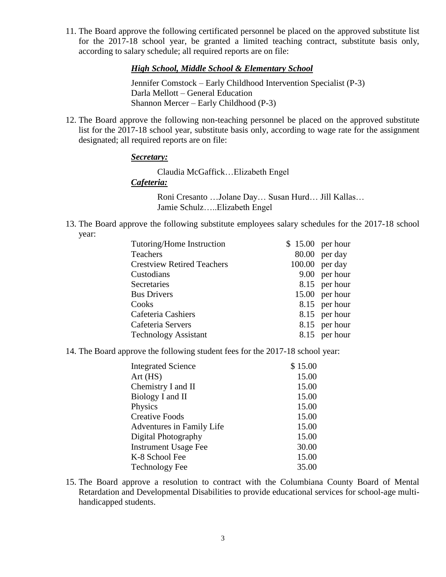11. The Board approve the following certificated personnel be placed on the approved substitute list for the 2017-18 school year, be granted a limited teaching contract, substitute basis only, according to salary schedule; all required reports are on file:

*High School, Middle School & Elementary School*

Jennifer Comstock – Early Childhood Intervention Specialist (P-3) Darla Mellott – General Education Shannon Mercer – Early Childhood (P-3)

12. The Board approve the following non-teaching personnel be placed on the approved substitute list for the 2017-18 school year, substitute basis only, according to wage rate for the assignment designated; all required reports are on file:

#### *Secretary:*

Claudia McGaffick…Elizabeth Engel *Cafeteria:* Roni Cresanto …Jolane Day… Susan Hurd… Jill Kallas…

Jamie Schulz…..Elizabeth Engel

13. The Board approve the following substitute employees salary schedules for the 2017-18 school year:

| Tutoring/Home Instruction         | $$15.00$ per hour |                |
|-----------------------------------|-------------------|----------------|
| Teachers                          | $80.00$ per day   |                |
| <b>Crestview Retired Teachers</b> | $100.00$ per day  |                |
| Custodians                        |                   | 9.00 per hour  |
| Secretaries                       |                   | 8.15 per hour  |
| <b>Bus Drivers</b>                |                   | 15.00 per hour |
| Cooks                             |                   | 8.15 per hour  |
| Cafeteria Cashiers                |                   | 8.15 per hour  |
| Cafeteria Servers                 |                   | 8.15 per hour  |
| <b>Technology Assistant</b>       |                   | 8.15 per hour  |

14. The Board approve the following student fees for the 2017-18 school year:

| <b>Integrated Science</b>   | \$15.00 |
|-----------------------------|---------|
| Art(HS)                     | 15.00   |
| Chemistry I and II          | 15.00   |
| Biology I and II            | 15.00   |
| Physics                     | 15.00   |
| <b>Creative Foods</b>       | 15.00   |
| Adventures in Family Life   | 15.00   |
| Digital Photography         | 15.00   |
| <b>Instrument Usage Fee</b> | 30.00   |
| K-8 School Fee              | 15.00   |
| <b>Technology Fee</b>       | 35.00   |

15. The Board approve a resolution to contract with the Columbiana County Board of Mental Retardation and Developmental Disabilities to provide educational services for school-age multihandicapped students.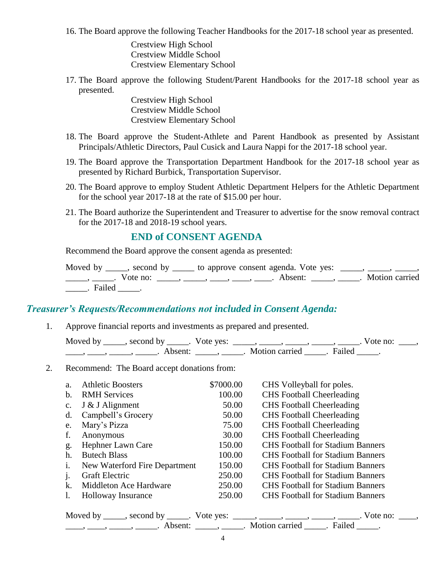16. The Board approve the following Teacher Handbooks for the 2017-18 school year as presented.

Crestview High School Crestview Middle School Crestview Elementary School

17. The Board approve the following Student/Parent Handbooks for the 2017-18 school year as presented.

> Crestview High School Crestview Middle School Crestview Elementary School

- 18. The Board approve the Student-Athlete and Parent Handbook as presented by Assistant Principals/Athletic Directors, Paul Cusick and Laura Nappi for the 2017-18 school year.
- 19. The Board approve the Transportation Department Handbook for the 2017-18 school year as presented by Richard Burbick, Transportation Supervisor.
- 20. The Board approve to employ Student Athletic Department Helpers for the Athletic Department for the school year 2017-18 at the rate of \$15.00 per hour.
- 21. The Board authorize the Superintendent and Treasurer to advertise for the snow removal contract for the 2017-18 and 2018-19 school years.

#### **END of CONSENT AGENDA**

Recommend the Board approve the consent agenda as presented:

|                 | Moved by _____, second by _____ to approve consent agenda. Vote yes: _____, _____, _____,                                                                                                                                                                                                                                                                                                                                   |  |
|-----------------|-----------------------------------------------------------------------------------------------------------------------------------------------------------------------------------------------------------------------------------------------------------------------------------------------------------------------------------------------------------------------------------------------------------------------------|--|
|                 | $\frac{1}{1}, \frac{1}{1}, \frac{1}{1}, \frac{1}{1}, \frac{1}{1}, \frac{1}{1}, \frac{1}{1}, \frac{1}{1}, \frac{1}{1}, \frac{1}{1}, \frac{1}{1}, \frac{1}{1}, \frac{1}{1}, \frac{1}{1}, \frac{1}{1}, \frac{1}{1}, \frac{1}{1}, \frac{1}{1}, \frac{1}{1}, \frac{1}{1}, \frac{1}{1}, \frac{1}{1}, \frac{1}{1}, \frac{1}{1}, \frac{1}{1}, \frac{1}{1}, \frac{1}{1}, \frac{1}{1}, \frac{1}{1}, \frac{1}{1}, \frac{1}{1}, \frac{$ |  |
| _______. Failed |                                                                                                                                                                                                                                                                                                                                                                                                                             |  |

#### *Treasurer's Requests/Recommendations not included in Consent Agenda:*

1. Approve financial reports and investments as prepared and presented.

| Moved by ______, second by ______. Vote yes: |                           | Vote no: |  |
|----------------------------------------------|---------------------------|----------|--|
| Absent:                                      | . Motion carried . Failed |          |  |

2. Recommend: The Board accept donations from:

| a.             | <b>Athletic Boosters</b>      | \$7000.00 | CHS Volleyball for poles.               |
|----------------|-------------------------------|-----------|-----------------------------------------|
| b.             | <b>RMH</b> Services           | 100.00    | <b>CHS</b> Football Cheerleading        |
| $\mathbf{c}$ . | J & J Alignment               | 50.00     | <b>CHS</b> Football Cheerleading        |
| d.             | Campbell's Grocery            | 50.00     | <b>CHS</b> Football Cheerleading        |
| e.             | Mary's Pizza                  | 75.00     | <b>CHS</b> Football Cheerleading        |
| f.             | Anonymous                     | 30.00     | <b>CHS</b> Football Cheerleading        |
| g.             | Hephner Lawn Care             | 150.00    | <b>CHS</b> Football for Stadium Banners |
| h.             | <b>Butech Blass</b>           | 100.00    | <b>CHS</b> Football for Stadium Banners |
| $\mathbf{1}$ . | New Waterford Fire Department | 150.00    | <b>CHS</b> Football for Stadium Banners |
|                | <b>Graft Electric</b>         | 250.00    | <b>CHS</b> Football for Stadium Banners |
| k.             | Middleton Ace Hardware        | 250.00    | <b>CHS</b> Football for Stadium Banners |
|                | <b>Holloway Insurance</b>     | 250.00    | <b>CHS</b> Football for Stadium Banners |

| Moved by ______, second by ______. Vote yes: |                       |        | Vote no: |
|----------------------------------------------|-----------------------|--------|----------|
| Absent <sup>.</sup>                          | <b>Motion carried</b> | Failed |          |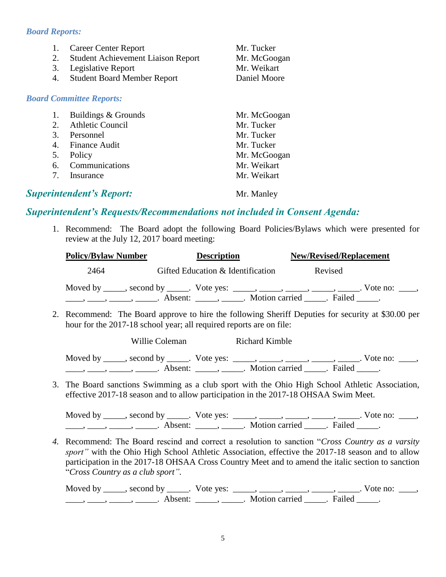#### *Board Reports:*

| 1.<br>2.<br>3.<br>4. | <b>Career Center Report</b><br><b>Student Achievement Liaison Report</b><br>Legislative Report<br><b>Student Board Member Report</b> | Mr. Tucker<br>Mr. McGoogan<br>Mr. Weikart<br>Daniel Moore |
|----------------------|--------------------------------------------------------------------------------------------------------------------------------------|-----------------------------------------------------------|
|                      | <b>Board Committee Reports:</b>                                                                                                      |                                                           |
| 1.                   | Buildings & Grounds                                                                                                                  | Mr. McGoogan                                              |
| 2.                   | <b>Athletic Council</b>                                                                                                              | Mr. Tucker                                                |
| 3.                   | Personnel                                                                                                                            | Mr. Tucker                                                |
| 4.                   | Finance Audit                                                                                                                        | Mr. Tucker                                                |
| 5.                   | Policy                                                                                                                               | Mr. McGoogan                                              |
| 6.                   | Communications                                                                                                                       | Mr. Weikart                                               |
| 7.                   | Insurance                                                                                                                            | Mr. Weikart                                               |
|                      | <b>Superintendent's Report:</b>                                                                                                      | Mr. Manley                                                |

#### *Superintendent's Requests/Recommendations not included in Consent Agenda:*

1. Recommend: The Board adopt the following Board Policies/Bylaws which were presented for review at the July 12, 2017 board meeting:

| <b>Policy/Bylaw Number</b>                                                                                                                    | <b>Description</b>                                                                                                                                             | <b>New/Revised/Replacement</b> |
|-----------------------------------------------------------------------------------------------------------------------------------------------|----------------------------------------------------------------------------------------------------------------------------------------------------------------|--------------------------------|
| 2464                                                                                                                                          | Gifted Education & Identification                                                                                                                              | Revised                        |
| $\frac{1}{1}$ , $\frac{1}{1}$ , $\frac{1}{1}$ , $\frac{1}{1}$ , $\frac{1}{1}$ , $\frac{1}{1}$ , $\frac{1}{1}$ , $\frac{1}{1}$ , $\frac{1}{1}$ | Moved by ______, second by ______. Vote yes: ______, ______, ______, ______. Vote no: _____,<br>Absent: ______________. Motion carried _______. Failed ______. |                                |

2. Recommend: The Board approve to hire the following Sheriff Deputies for security at \$30.00 per hour for the 2017-18 school year; all required reports are on file:

| Willie Coleman | <b>Richard Kimble</b>                                                          |                      |  |
|----------------|--------------------------------------------------------------------------------|----------------------|--|
|                | Moved by _____, second by _____. Vote yes: _____, _____, _____, _____, ______, | . Vote no: $\_\_\_\$ |  |
|                | Absent: ______, ______. Motion carried ______. Failed _____.                   |                      |  |

3. The Board sanctions Swimming as a club sport with the Ohio High School Athletic Association, effective 2017-18 season and to allow participation in the 2017-18 OHSAA Swim Meet.

Moved by \_\_\_\_\_, second by \_\_\_\_\_. Vote yes:  $\_\_\_\_\_\_\_\_\_\_\_\_\_\_\_\_\_\_\_$  \_\_\_\_, \_\_\_\_, \_\_\_\_. Vote no:  $\_\_\_\_\_\$ \_\_\_\_\_, \_\_\_\_\_\_, \_\_\_\_\_\_\_. Absent: \_\_\_\_\_\_, \_\_\_\_\_\_. Motion carried \_\_\_\_\_\_. Failed \_\_\_\_\_.

*4.* Recommend: The Board rescind and correct a resolution to sanction "*Cross Country as a varsity sport"* with the Ohio High School Athletic Association, effective the 2017-18 season and to allow participation in the 2017-18 OHSAA Cross Country Meet and to amend the italic section to sanction "*Cross Country as a club sport".*

Moved by \_\_\_\_\_, second by \_\_\_\_\_. Vote yes:  $\frac{1}{\sqrt{2}}$ , \_\_\_\_, \_\_\_\_, \_\_\_\_, \_\_\_\_, \_\_\_\_. Vote no: \_\_\_\_,  $\underbrace{\hspace{2cm}}$ ,  $\underbrace{\hspace{2cm}}$ ,  $\underbrace{\hspace{2cm}}$ . Absent:  $\underbrace{\hspace{2cm}}$ ,  $\underbrace{\hspace{2cm}}$ . Motion carried  $\underbrace{\hspace{2cm}}$ . Failed  $\underbrace{\hspace{2cm}}$ .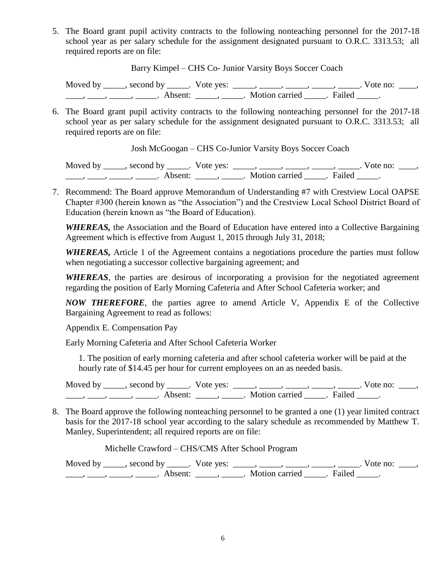5. The Board grant pupil activity contracts to the following nonteaching personnel for the 2017-18 school year as per salary schedule for the assignment designated pursuant to O.R.C. 3313.53; all required reports are on file:

Barry Kimpel – CHS Co- Junior Varsity Boys Soccer Coach

Moved by \_\_\_\_\_, second by \_\_\_\_\_. Vote yes:  $\_\_\_\_\_\_\_\_\_\_\_\_\_\_$  \_\_\_\_\_, \_\_\_\_\_, \_\_\_\_\_. Vote no:  $\_\_\_\_\_\$ \_\_\_\_\_, \_\_\_\_\_\_, \_\_\_\_\_\_\_. Absent: \_\_\_\_\_\_, \_\_\_\_\_\_. Motion carried \_\_\_\_\_\_. Failed \_\_\_\_\_.

6. The Board grant pupil activity contracts to the following nonteaching personnel for the 2017-18 school year as per salary schedule for the assignment designated pursuant to O.R.C. 3313.53; all required reports are on file:

Josh McGoogan – CHS Co-Junior Varsity Boys Soccer Coach

Moved by \_\_\_\_\_, second by \_\_\_\_\_. Vote yes: \_\_\_\_\_, \_\_\_\_\_, \_\_\_\_\_, \_\_\_\_\_, \_\_\_\_\_. Vote no: \_\_\_\_,  $\underbrace{\hspace{2cm}}$ ,  $\underbrace{\hspace{2cm}}$ ,  $\underbrace{\hspace{2cm}}$  Absent:  $\underbrace{\hspace{2cm}}$ ,  $\underbrace{\hspace{2cm}}$ . Motion carried  $\underbrace{\hspace{2cm}}$ . Failed  $\underbrace{\hspace{2cm}}$ .

7. Recommend: The Board approve Memorandum of Understanding #7 with Crestview Local OAPSE Chapter #300 (herein known as "the Association") and the Crestview Local School District Board of Education (herein known as "the Board of Education).

*WHEREAS,* the Association and the Board of Education have entered into a Collective Bargaining Agreement which is effective from August 1, 2015 through July 31, 2018;

*WHEREAS,* Article 1 of the Agreement contains a negotiations procedure the parties must follow when negotiating a successor collective bargaining agreement; and

*WHEREAS,* the parties are desirous of incorporating a provision for the negotiated agreement regarding the position of Early Morning Cafeteria and After School Cafeteria worker; and

*NOW THEREFORE*, the parties agree to amend Article V, Appendix E of the Collective Bargaining Agreement to read as follows:

Appendix E. Compensation Pay

Early Morning Cafeteria and After School Cafeteria Worker

1. The position of early morning cafeteria and after school cafeteria worker will be paid at the hourly rate of \$14.45 per hour for current employees on an as needed basis.

Moved by \_\_\_\_\_, second by \_\_\_\_\_. Vote yes:  $\_\_\_\_\_\_\_\_\_\_\_\_\_\_\_$  \_\_\_\_\_, \_\_\_\_\_, \_\_\_\_\_. Vote no:  $\_\_\_\_\_\_\$ \_\_\_\_\_, \_\_\_\_\_\_, \_\_\_\_\_\_\_. Absent: \_\_\_\_\_\_, \_\_\_\_\_\_. Motion carried \_\_\_\_\_\_. Failed \_\_\_\_\_.

8. The Board approve the following nonteaching personnel to be granted a one (1) year limited contract basis for the 2017-18 school year according to the salary schedule as recommended by Matthew T. Manley, Superintendent; all required reports are on file:

Michelle Crawford – CHS/CMS After School Program

Moved by \_\_\_\_\_, second by \_\_\_\_\_. Vote yes:  $\frac{1}{\sqrt{2}}$ , \_\_\_\_, \_\_\_\_, \_\_\_\_, \_\_\_\_. Vote no: \_\_\_, \_\_\_\_\_, \_\_\_\_\_\_, \_\_\_\_\_\_\_. Absent: \_\_\_\_\_\_, \_\_\_\_\_\_. Motion carried \_\_\_\_\_\_. Failed \_\_\_\_\_.